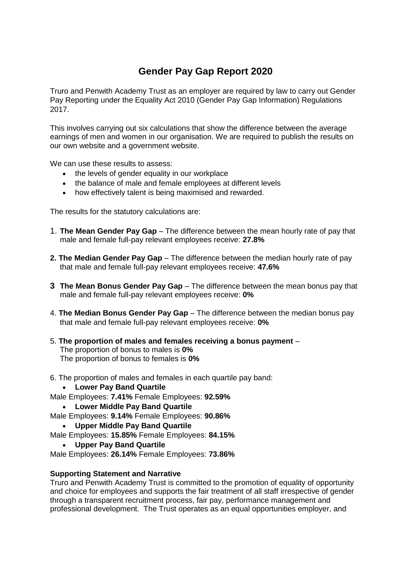## **Gender Pay Gap Report 2020**

Truro and Penwith Academy Trust as an employer are required by law to carry out Gender Pay Reporting under the Equality Act 2010 (Gender Pay Gap Information) Regulations 2017.

This involves carrying out six calculations that show the difference between the average earnings of men and women in our organisation. We are required to publish the results on our own website and a government website.

We can use these results to assess:

- the levels of gender equality in our workplace
- the balance of male and female employees at different levels
- how effectively talent is being maximised and rewarded.

The results for the statutory calculations are:

- 1. **The Mean Gender Pay Gap**  The difference between the mean hourly rate of pay that male and female full-pay relevant employees receive: **27.8%**
- **2. The Median Gender Pay Gap**  The difference between the median hourly rate of pay that male and female full-pay relevant employees receive: **47.6%**
- **3 The Mean Bonus Gender Pay Gap** The difference between the mean bonus pay that male and female full-pay relevant employees receive: **0%**
- 4. **The Median Bonus Gender Pay Gap**  The difference between the median bonus pay that male and female full-pay relevant employees receive: **0%**
- 5. **The proportion of males and females receiving a bonus payment**  The proportion of bonus to males is **0%** The proportion of bonus to females is **0%**
- 6. The proportion of males and females in each quartile pay band:
	- **Lower Pay Band Quartile**
- Male Employees: **7.41%** Female Employees: **92.59%**
	- **Lower Middle Pay Band Quartile**
- Male Employees: **9.14%** Female Employees: **90.86%**
	- **Upper Middle Pay Band Quartile**
- Male Employees: **15.85%** Female Employees: **84.15%**
	- **Upper Pay Band Quartile**

Male Employees: **26.14%** Female Employees: **73.86%**

## **Supporting Statement and Narrative**

Truro and Penwith Academy Trust is committed to the promotion of equality of opportunity and choice for employees and supports the fair treatment of all staff irrespective of gender through a transparent recruitment process, fair pay, performance management and professional development. The Trust operates as an equal opportunities employer, and